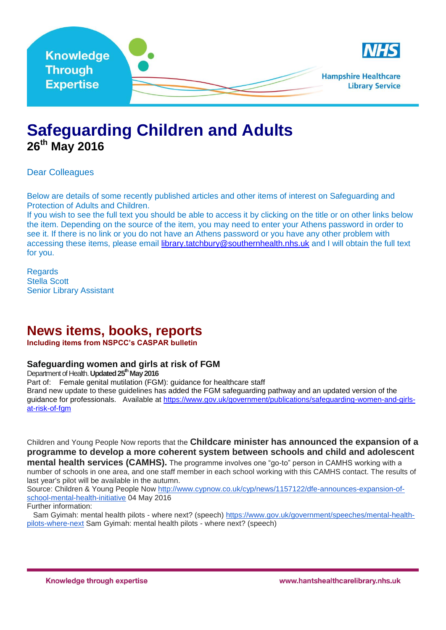

## **Safeguarding Children and Adults 26th May 2016**

Dear Colleagues

Below are details of some recently published articles and other items of interest on Safeguarding and Protection of Adults and Children.

If you wish to see the full text you should be able to access it by clicking on the title or on other links below the item. Depending on the source of the item, you may need to enter your Athens password in order to see it. If there is no link or you do not have an Athens password or you have any other problem with accessing these items, please email [library.tatchbury@southernhealth.nhs.uk](mailto:library.tatchbury@southernhealth.nhs.uk) and I will obtain the full text for you.

Regards Stella Scott Senior Library Assistant

### **News items, books, reports**

**Including items from NSPCC's CASPAR bulletin**

### **Safeguarding women and girls at risk of FGM**

Department of Health. **Updated 25thMay 2016**

Part of: Female genital mutilation (FGM): guidance for [healthcare](https://www.gov.uk/government/collections/female-genital-mutilation-fgm-guidance-for-healthcare-staff) staff

Brand new update to these guidelines has added the FGM safeguarding pathway and an updated version of the guidance for professionals. Available at [https://www.gov.uk/government/publications/safeguarding-women-and-girls](https://www.gov.uk/government/publications/safeguarding-women-and-girls-at-risk-of-fgm)[at-risk-of-fgm](https://www.gov.uk/government/publications/safeguarding-women-and-girls-at-risk-of-fgm)

Children and Young People Now reports that the **Childcare minister has announced the expansion of a programme to develop a more coherent system between schools and child and adolescent** 

**mental health services (CAMHS).** The programme involves one "go-to" person in CAMHS working with a number of schools in one area, and one staff member in each school working with this CAMHS contact. The results of last year's pilot will be available in the autumn.

Source: Children & Young People Now [http://www.cypnow.co.uk/cyp/news/1157122/dfe-announces-expansion-of](http://www.cypnow.co.uk/cyp/news/1157122/dfe-announces-expansion-of-school-mental-health-initiative)[school-mental-health-initiative](http://www.cypnow.co.uk/cyp/news/1157122/dfe-announces-expansion-of-school-mental-health-initiative) 04 May 2016

Further information:

Sam Gyimah: mental health pilots - where next? (speech) [https://www.gov.uk/government/speeches/mental-health](https://www.gov.uk/government/speeches/mental-health-pilots-where-next)[pilots-where-next](https://www.gov.uk/government/speeches/mental-health-pilots-where-next) Sam Gyimah: mental health pilots - where next? (speech)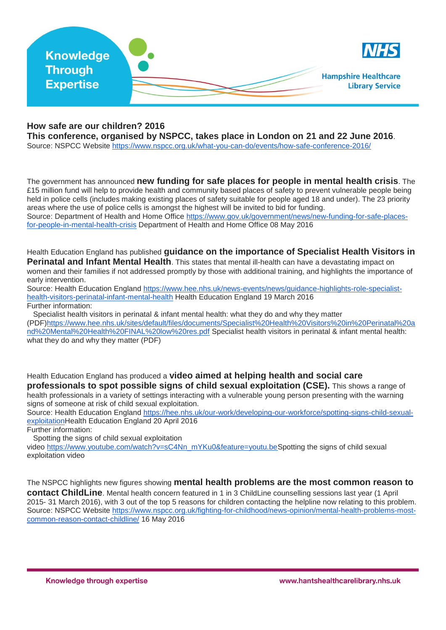| <b>Knowledge</b>                   | <b>NHS</b>                                            |
|------------------------------------|-------------------------------------------------------|
| <b>Through</b><br><b>Expertise</b> | <b>Hampshire Healthcare</b><br><b>Library Service</b> |

### **How safe are our children? 2016**

**This conference, organised by NSPCC, takes place in London on 21 and 22 June 2016**.

Source: NSPCC Website <https://www.nspcc.org.uk/what-you-can-do/events/how-safe-conference-2016/>

The government has announced **new funding for safe places for people in mental health crisis**. The £15 million fund will help to provide health and community based places of safety to prevent vulnerable people being held in police cells (includes making existing places of safety suitable for people aged 18 and under). The 23 priority areas where the use of police cells is amongst the highest will be invited to bid for funding.

Source: Department of Health and Home Office [https://www.gov.uk/government/news/new-funding-for-safe-places](https://www.gov.uk/government/news/new-funding-for-safe-places-for-people-in-mental-health-crisis)[for-people-in-mental-health-crisis](https://www.gov.uk/government/news/new-funding-for-safe-places-for-people-in-mental-health-crisis) Department of Health and Home Office 08 May 2016

Health Education England has published **guidance on the importance of Specialist Health Visitors in Perinatal and Infant Mental Health**. This states that mental ill-health can have a devastating impact on women and their families if not addressed promptly by those with additional training, and highlights the importance of early intervention.

Source: Health Education England [https://www.hee.nhs.uk/news-events/news/guidance-highlights-role-specialist](https://www.hee.nhs.uk/news-events/news/guidance-highlights-role-specialist-health-visitors-perinatal-infant-mental-health)[health-visitors-perinatal-infant-mental-health](https://www.hee.nhs.uk/news-events/news/guidance-highlights-role-specialist-health-visitors-perinatal-infant-mental-health) Health Education England 19 March 2016 Further information:

Specialist health visitors in perinatal & infant mental health: what they do and why they matter

(PDF[\)https://www.hee.nhs.uk/sites/default/files/documents/Specialist%20Health%20Visitors%20in%20Perinatal%20a](https://www.hee.nhs.uk/sites/default/files/documents/Specialist%20Health%20Visitors%20in%20Perinatal%20and%20Mental%20Health%20FINAL%20low%20res.pdf) [nd%20Mental%20Health%20FINAL%20low%20res.pdf](https://www.hee.nhs.uk/sites/default/files/documents/Specialist%20Health%20Visitors%20in%20Perinatal%20and%20Mental%20Health%20FINAL%20low%20res.pdf) Specialist health visitors in perinatal & infant mental health: what they do and why they matter (PDF)

Health Education England has produced a **video aimed at helping health and social care professionals to spot possible signs of child sexual exploitation (CSE).** This shows a range of health professionals in a variety of settings interacting with a vulnerable young person presenting with the warning

signs of someone at risk of child sexual exploitation. Source: Health Education England [https://hee.nhs.uk/our-work/developing-our-workforce/spotting-signs-child-sexual](https://hee.nhs.uk/our-work/developing-our-workforce/spotting-signs-child-sexual-exploitation)[exploitationH](https://hee.nhs.uk/our-work/developing-our-workforce/spotting-signs-child-sexual-exploitation)ealth Education England 20 April 2016

Further information:

Spotting the signs of child sexual exploitation

video [https://www.youtube.com/watch?v=sC4Nn\\_mYKu0&feature=youtu.beS](https://www.youtube.com/watch?v=sC4Nn_mYKu0&feature=youtu.be)potting the signs of child sexual exploitation video

The NSPCC highlights new figures showing **mental health problems are the most common reason to contact ChildLine**. Mental health concern featured in 1 in 3 ChildLine counselling sessions last year (1 April 2015- 31 March 2016), with 3 out of the top 5 reasons for children contacting the helpline now relating to this problem. Source: NSPCC Website [https://www.nspcc.org.uk/fighting-for-childhood/news-opinion/mental-health-problems-most](https://www.nspcc.org.uk/fighting-for-childhood/news-opinion/mental-health-problems-most-common-reason-contact-childline/)[common-reason-contact-childline/](https://www.nspcc.org.uk/fighting-for-childhood/news-opinion/mental-health-problems-most-common-reason-contact-childline/) 16 May 2016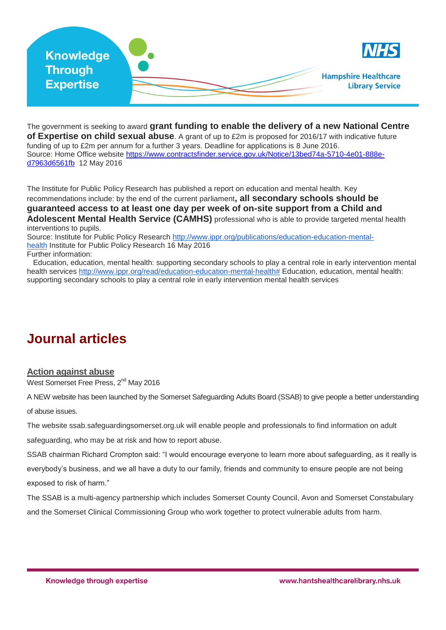| Knowledge                          | <b>NHS</b>                                            |
|------------------------------------|-------------------------------------------------------|
| <b>Through</b><br><b>Expertise</b> | <b>Hampshire Healthcare</b><br><b>Library Service</b> |

The government is seeking to award **grant funding to enable the delivery of a new National Centre of Expertise on child sexual abuse**. A grant of up to £2m is proposed for 2016/17 with indicative future funding of up to £2m per annum for a further 3 years. Deadline for applications is 8 June 2016. Source: Home Office website [https://www.contractsfinder.service.gov.uk/Notice/13bed74a-5710-4e01-888e](https://www.contractsfinder.service.gov.uk/Notice/13bed74a-5710-4e01-888e-d7963d6561fb)[d7963d6561fb](https://www.contractsfinder.service.gov.uk/Notice/13bed74a-5710-4e01-888e-d7963d6561fb) 12 May 2016

The Institute for Public Policy Research has published a report on education and mental health. Key recommendations include: by the end of the current parliament**, all secondary schools should be guaranteed access to at least one day per week of on-site support from a Child and Adolescent Mental Health Service (CAMHS)** professional who is able to provide targeted mental health interventions to pupils.

Source: Institute for Public Policy Research [http://www.ippr.org/publications/education-education-mental](http://www.ippr.org/publications/education-education-mental-health)[health](http://www.ippr.org/publications/education-education-mental-health) Institute for Public Policy Research 16 May 2016

Further information:

Education, education, mental health: supporting secondary schools to play a central role in early intervention mental health services [http://www.ippr.org/read/education-education-mental-health#](http://www.ippr.org/read/education-education-mental-health) Education, education, mental health: supporting secondary schools to play a central role in early intervention mental health services

# **Journal articles**

### **[Action against abuse](http://www.west-somerset-today.co.uk/article.cfm?id=103790&headline=Action%20against%20abuse§ionIs=news&searchyear=2016)**

West Somerset Free Press, 2<sup>nd</sup> May 2016

A NEW website has been launched by the Somerset Safeguarding Adults Board (SSAB) to give people a better understanding

of abuse issues.

The website ssab.safeguardingsomerset.org.uk will enable people and professionals to find information on adult safeguarding, who may be at risk and how to report abuse.

SSAB chairman Richard Crompton said: "I would encourage everyone to learn more about safeguarding, as it really is everybody's business, and we all have a duty to our family, friends and community to ensure people are not being exposed to risk of harm."

The SSAB is a multi-agency partnership which includes Somerset County Council, Avon and Somerset Constabulary and the Somerset Clinical Commissioning Group who work together to protect vulnerable adults from harm.